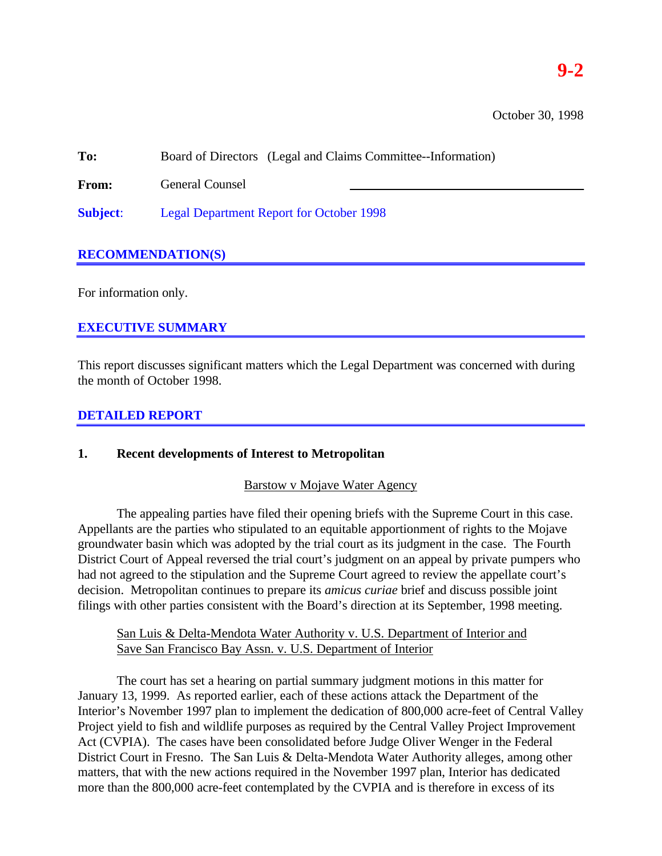# **9-2**

October 30, 1998

**To:** Board of Directors (Legal and Claims Committee--Information)

**From:** General Counsel

**Subject**: Legal Department Report for October 1998

# **RECOMMENDATION(S)**

For information only.

# **EXECUTIVE SUMMARY**

This report discusses significant matters which the Legal Department was concerned with during the month of October 1998.

# **DETAILED REPORT**

# **1. Recent developments of Interest to Metropolitan**

### Barstow v Mojave Water Agency

The appealing parties have filed their opening briefs with the Supreme Court in this case. Appellants are the parties who stipulated to an equitable apportionment of rights to the Mojave groundwater basin which was adopted by the trial court as its judgment in the case. The Fourth District Court of Appeal reversed the trial court's judgment on an appeal by private pumpers who had not agreed to the stipulation and the Supreme Court agreed to review the appellate court's decision. Metropolitan continues to prepare its *amicus curiae* brief and discuss possible joint filings with other parties consistent with the Board's direction at its September, 1998 meeting.

# San Luis & Delta-Mendota Water Authority v. U.S. Department of Interior and Save San Francisco Bay Assn. v. U.S. Department of Interior

The court has set a hearing on partial summary judgment motions in this matter for January 13, 1999. As reported earlier, each of these actions attack the Department of the Interior's November 1997 plan to implement the dedication of 800,000 acre-feet of Central Valley Project yield to fish and wildlife purposes as required by the Central Valley Project Improvement Act (CVPIA). The cases have been consolidated before Judge Oliver Wenger in the Federal District Court in Fresno. The San Luis & Delta-Mendota Water Authority alleges, among other matters, that with the new actions required in the November 1997 plan, Interior has dedicated more than the 800,000 acre-feet contemplated by the CVPIA and is therefore in excess of its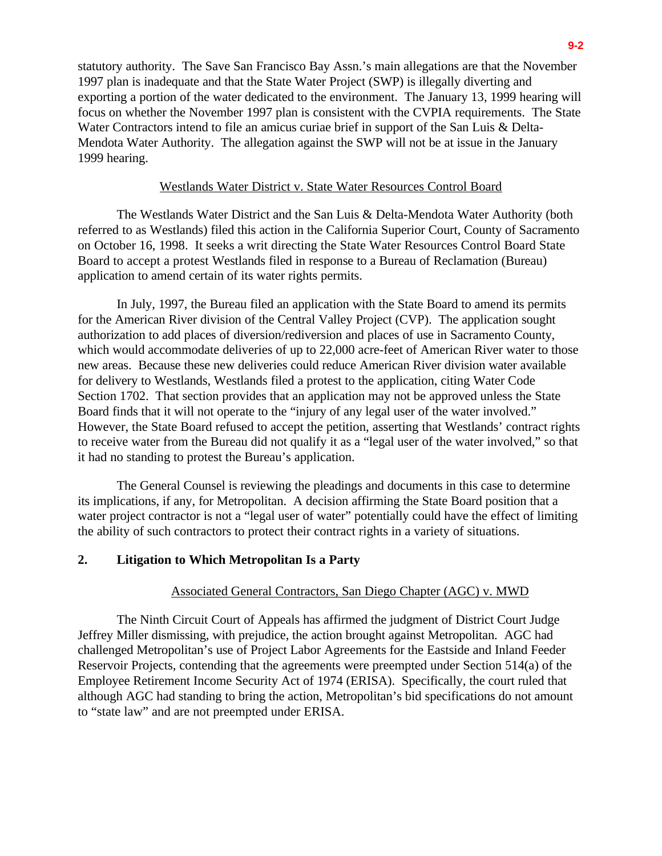statutory authority. The Save San Francisco Bay Assn.'s main allegations are that the November 1997 plan is inadequate and that the State Water Project (SWP) is illegally diverting and exporting a portion of the water dedicated to the environment. The January 13, 1999 hearing will focus on whether the November 1997 plan is consistent with the CVPIA requirements. The State Water Contractors intend to file an amicus curiae brief in support of the San Luis & Delta-Mendota Water Authority. The allegation against the SWP will not be at issue in the January 1999 hearing.

#### Westlands Water District v. State Water Resources Control Board

The Westlands Water District and the San Luis & Delta-Mendota Water Authority (both referred to as Westlands) filed this action in the California Superior Court, County of Sacramento on October 16, 1998. It seeks a writ directing the State Water Resources Control Board State Board to accept a protest Westlands filed in response to a Bureau of Reclamation (Bureau) application to amend certain of its water rights permits.

In July, 1997, the Bureau filed an application with the State Board to amend its permits for the American River division of the Central Valley Project (CVP). The application sought authorization to add places of diversion/rediversion and places of use in Sacramento County, which would accommodate deliveries of up to 22,000 acre-feet of American River water to those new areas. Because these new deliveries could reduce American River division water available for delivery to Westlands, Westlands filed a protest to the application, citing Water Code Section 1702. That section provides that an application may not be approved unless the State Board finds that it will not operate to the "injury of any legal user of the water involved." However, the State Board refused to accept the petition, asserting that Westlands' contract rights to receive water from the Bureau did not qualify it as a "legal user of the water involved," so that it had no standing to protest the Bureau's application.

The General Counsel is reviewing the pleadings and documents in this case to determine its implications, if any, for Metropolitan. A decision affirming the State Board position that a water project contractor is not a "legal user of water" potentially could have the effect of limiting the ability of such contractors to protect their contract rights in a variety of situations.

### **2. Litigation to Which Metropolitan Is a Party**

#### Associated General Contractors, San Diego Chapter (AGC) v. MWD

The Ninth Circuit Court of Appeals has affirmed the judgment of District Court Judge Jeffrey Miller dismissing, with prejudice, the action brought against Metropolitan. AGC had challenged Metropolitan's use of Project Labor Agreements for the Eastside and Inland Feeder Reservoir Projects, contending that the agreements were preempted under Section 514(a) of the Employee Retirement Income Security Act of 1974 (ERISA). Specifically, the court ruled that although AGC had standing to bring the action, Metropolitan's bid specifications do not amount to "state law" and are not preempted under ERISA.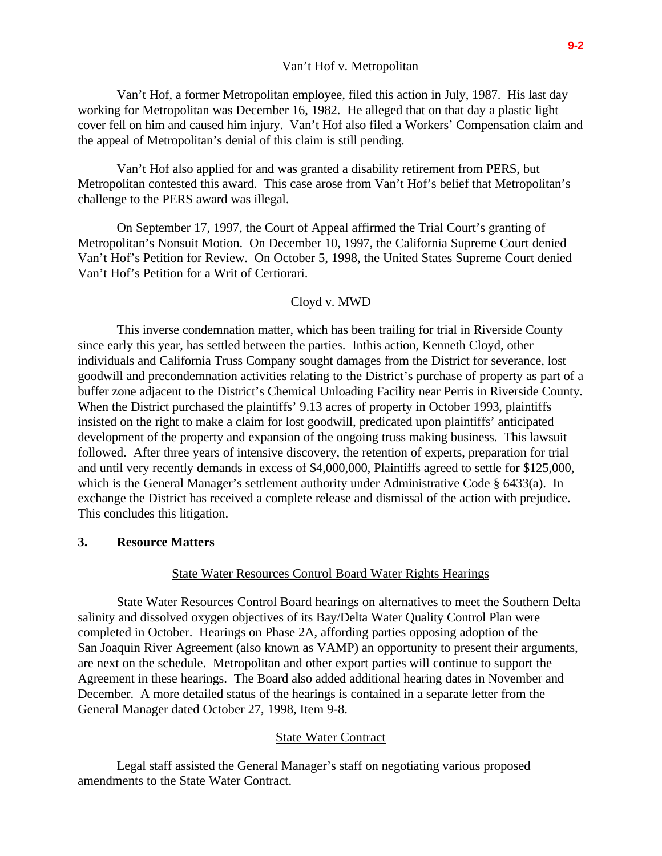#### Van't Hof v. Metropolitan

Van't Hof, a former Metropolitan employee, filed this action in July, 1987. His last day working for Metropolitan was December 16, 1982. He alleged that on that day a plastic light cover fell on him and caused him injury. Van't Hof also filed a Workers' Compensation claim and the appeal of Metropolitan's denial of this claim is still pending.

Van't Hof also applied for and was granted a disability retirement from PERS, but Metropolitan contested this award. This case arose from Van't Hof's belief that Metropolitan's challenge to the PERS award was illegal.

On September 17, 1997, the Court of Appeal affirmed the Trial Court's granting of Metropolitan's Nonsuit Motion. On December 10, 1997, the California Supreme Court denied Van't Hof's Petition for Review. On October 5, 1998, the United States Supreme Court denied Van't Hof's Petition for a Writ of Certiorari.

#### Cloyd v. MWD

This inverse condemnation matter, which has been trailing for trial in Riverside County since early this year, has settled between the parties. Inthis action, Kenneth Cloyd, other individuals and California Truss Company sought damages from the District for severance, lost goodwill and precondemnation activities relating to the District's purchase of property as part of a buffer zone adjacent to the District's Chemical Unloading Facility near Perris in Riverside County. When the District purchased the plaintiffs' 9.13 acres of property in October 1993, plaintiffs insisted on the right to make a claim for lost goodwill, predicated upon plaintiffs' anticipated development of the property and expansion of the ongoing truss making business. This lawsuit followed. After three years of intensive discovery, the retention of experts, preparation for trial and until very recently demands in excess of \$4,000,000, Plaintiffs agreed to settle for \$125,000, which is the General Manager's settlement authority under Administrative Code § 6433(a). In exchange the District has received a complete release and dismissal of the action with prejudice. This concludes this litigation.

### **3. Resource Matters**

#### State Water Resources Control Board Water Rights Hearings

State Water Resources Control Board hearings on alternatives to meet the Southern Delta salinity and dissolved oxygen objectives of its Bay/Delta Water Quality Control Plan were completed in October. Hearings on Phase 2A, affording parties opposing adoption of the San Joaquin River Agreement (also known as VAMP) an opportunity to present their arguments, are next on the schedule. Metropolitan and other export parties will continue to support the Agreement in these hearings. The Board also added additional hearing dates in November and December. A more detailed status of the hearings is contained in a separate letter from the General Manager dated October 27, 1998, Item 9-8.

#### State Water Contract

Legal staff assisted the General Manager's staff on negotiating various proposed amendments to the State Water Contract.